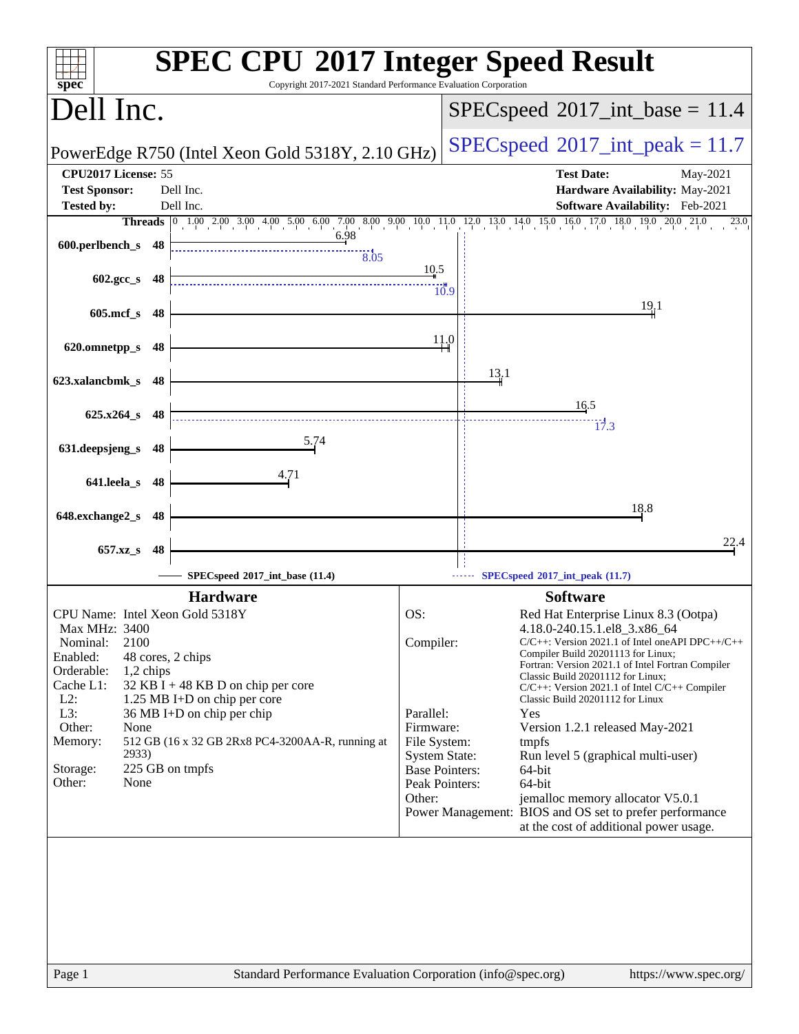| $spec^*$                                                                                                                                                                                                                                                                                                                                                                                                                            | <b>SPEC CPU®2017 Integer Speed Result</b><br>Copyright 2017-2021 Standard Performance Evaluation Corporation                                                                                                                                                                                                                                                                                                                                                                                                                                                                                                                                                                                                                                                              |
|-------------------------------------------------------------------------------------------------------------------------------------------------------------------------------------------------------------------------------------------------------------------------------------------------------------------------------------------------------------------------------------------------------------------------------------|---------------------------------------------------------------------------------------------------------------------------------------------------------------------------------------------------------------------------------------------------------------------------------------------------------------------------------------------------------------------------------------------------------------------------------------------------------------------------------------------------------------------------------------------------------------------------------------------------------------------------------------------------------------------------------------------------------------------------------------------------------------------------|
| Dell Inc.                                                                                                                                                                                                                                                                                                                                                                                                                           | $SPEC speed^{\circ}2017\_int\_base = 11.4$                                                                                                                                                                                                                                                                                                                                                                                                                                                                                                                                                                                                                                                                                                                                |
| PowerEdge R750 (Intel Xeon Gold 5318Y, 2.10 GHz)                                                                                                                                                                                                                                                                                                                                                                                    | $SPEC speed^{\circ}2017\_int\_peak = 11.7$                                                                                                                                                                                                                                                                                                                                                                                                                                                                                                                                                                                                                                                                                                                                |
| CPU2017 License: 55<br><b>Test Sponsor:</b><br>Dell Inc.                                                                                                                                                                                                                                                                                                                                                                            | <b>Test Date:</b><br>May-2021<br>Hardware Availability: May-2021                                                                                                                                                                                                                                                                                                                                                                                                                                                                                                                                                                                                                                                                                                          |
| <b>Tested by:</b><br>Dell Inc.                                                                                                                                                                                                                                                                                                                                                                                                      | Software Availability: Feb-2021<br>23.0                                                                                                                                                                                                                                                                                                                                                                                                                                                                                                                                                                                                                                                                                                                                   |
| 6.98                                                                                                                                                                                                                                                                                                                                                                                                                                | <b>Threads</b> 0 1.00 2.00 3.00 4.00 5.00 6.00 7.00 8.00 9.00 10.0 11.0 12.0 13.0 14.0 15.0 16.0 17.0 18.0 19.0 20.0 21.0                                                                                                                                                                                                                                                                                                                                                                                                                                                                                                                                                                                                                                                 |
| 600.perlbench_s 48<br>$\frac{1}{8.05}$                                                                                                                                                                                                                                                                                                                                                                                              |                                                                                                                                                                                                                                                                                                                                                                                                                                                                                                                                                                                                                                                                                                                                                                           |
| 602.gcc_s<br>- 48                                                                                                                                                                                                                                                                                                                                                                                                                   | 10.5<br>$\dddot{10.9}$                                                                                                                                                                                                                                                                                                                                                                                                                                                                                                                                                                                                                                                                                                                                                    |
| $605$ .mcf_s<br>-48                                                                                                                                                                                                                                                                                                                                                                                                                 | 19.1                                                                                                                                                                                                                                                                                                                                                                                                                                                                                                                                                                                                                                                                                                                                                                      |
| 620.omnetpp_s<br>48                                                                                                                                                                                                                                                                                                                                                                                                                 | 11.0                                                                                                                                                                                                                                                                                                                                                                                                                                                                                                                                                                                                                                                                                                                                                                      |
| 623.xalancbmk_s<br>48                                                                                                                                                                                                                                                                                                                                                                                                               | 13,1                                                                                                                                                                                                                                                                                                                                                                                                                                                                                                                                                                                                                                                                                                                                                                      |
| $625.x264_s$ 48                                                                                                                                                                                                                                                                                                                                                                                                                     | 16.5<br>17.3                                                                                                                                                                                                                                                                                                                                                                                                                                                                                                                                                                                                                                                                                                                                                              |
| 5.74<br>631.deepsjeng_s<br>48                                                                                                                                                                                                                                                                                                                                                                                                       |                                                                                                                                                                                                                                                                                                                                                                                                                                                                                                                                                                                                                                                                                                                                                                           |
| 4.71<br>641.leela_s<br>-48                                                                                                                                                                                                                                                                                                                                                                                                          |                                                                                                                                                                                                                                                                                                                                                                                                                                                                                                                                                                                                                                                                                                                                                                           |
| 648.exchange2_s<br>48                                                                                                                                                                                                                                                                                                                                                                                                               | 18.8                                                                                                                                                                                                                                                                                                                                                                                                                                                                                                                                                                                                                                                                                                                                                                      |
|                                                                                                                                                                                                                                                                                                                                                                                                                                     | 22.4                                                                                                                                                                                                                                                                                                                                                                                                                                                                                                                                                                                                                                                                                                                                                                      |
| $657.xz$ s<br>48                                                                                                                                                                                                                                                                                                                                                                                                                    |                                                                                                                                                                                                                                                                                                                                                                                                                                                                                                                                                                                                                                                                                                                                                                           |
| SPECspeed®2017_int_base (11.4)                                                                                                                                                                                                                                                                                                                                                                                                      | SPECspeed®2017_int_peak (11.7)                                                                                                                                                                                                                                                                                                                                                                                                                                                                                                                                                                                                                                                                                                                                            |
| <b>Hardware</b><br>CPU Name: Intel Xeon Gold 5318Y<br>Max MHz: 3400<br>2100<br>Nominal:<br>Enabled:<br>48 cores, 2 chips<br>Orderable:<br>1,2 chips<br>Cache L1:<br>32 KB I + 48 KB D on chip per core<br>$L2$ :<br>1.25 MB I+D on chip per core<br>$L3$ :<br>36 MB I+D on chip per chip<br>Other:<br>None<br>Memory:<br>512 GB (16 x 32 GB 2Rx8 PC4-3200AA-R, running at<br>2933)<br>225 GB on tmpfs<br>Storage:<br>Other:<br>None | <b>Software</b><br>OS:<br>Red Hat Enterprise Linux 8.3 (Ootpa)<br>4.18.0-240.15.1.el8_3.x86_64<br>$C/C++$ : Version 2021.1 of Intel one API DPC++/C++<br>Compiler:<br>Compiler Build 20201113 for Linux;<br>Fortran: Version 2021.1 of Intel Fortran Compiler<br>Classic Build 20201112 for Linux;<br>$C/C++$ : Version 2021.1 of Intel $C/C++$ Compiler<br>Classic Build 20201112 for Linux<br>Parallel:<br>Yes<br>Firmware:<br>Version 1.2.1 released May-2021<br>File System:<br>tmpfs<br><b>System State:</b><br>Run level 5 (graphical multi-user)<br><b>Base Pointers:</b><br>64-bit<br>Peak Pointers:<br>64-bit<br>Other:<br>jemalloc memory allocator V5.0.1<br>Power Management: BIOS and OS set to prefer performance<br>at the cost of additional power usage. |
| Page 1                                                                                                                                                                                                                                                                                                                                                                                                                              | Standard Performance Evaluation Corporation (info@spec.org)<br>https://www.spec.org/                                                                                                                                                                                                                                                                                                                                                                                                                                                                                                                                                                                                                                                                                      |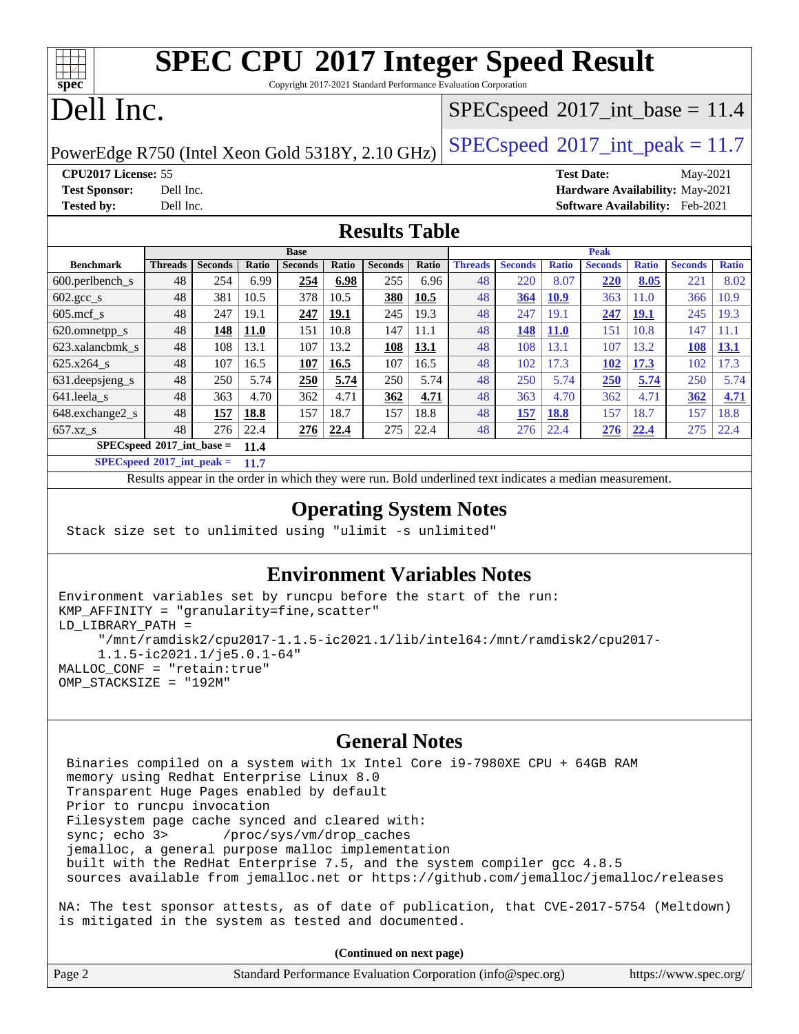# **[SPEC CPU](http://www.spec.org/auto/cpu2017/Docs/result-fields.html#SPECCPU2017IntegerSpeedResult)[2017 Integer Speed Result](http://www.spec.org/auto/cpu2017/Docs/result-fields.html#SPECCPU2017IntegerSpeedResult)**

Copyright 2017-2021 Standard Performance Evaluation Corporation

## Dell Inc.

**[spec](http://www.spec.org/)**

### $SPECspeed^{\circledcirc}2017\_int\_base = 11.4$  $SPECspeed^{\circledcirc}2017\_int\_base = 11.4$

PowerEdge R750 (Intel Xeon Gold 5318Y, 2.10 GHz)  $\left|$  [SPECspeed](http://www.spec.org/auto/cpu2017/Docs/result-fields.html#SPECspeed2017intpeak)®[2017\\_int\\_peak = 1](http://www.spec.org/auto/cpu2017/Docs/result-fields.html#SPECspeed2017intpeak)1.7

**[CPU2017 License:](http://www.spec.org/auto/cpu2017/Docs/result-fields.html#CPU2017License)** 55 **[Test Date:](http://www.spec.org/auto/cpu2017/Docs/result-fields.html#TestDate)** May-2021 **[Test Sponsor:](http://www.spec.org/auto/cpu2017/Docs/result-fields.html#TestSponsor)** Dell Inc. **[Hardware Availability:](http://www.spec.org/auto/cpu2017/Docs/result-fields.html#HardwareAvailability)** May-2021 **[Tested by:](http://www.spec.org/auto/cpu2017/Docs/result-fields.html#Testedby)** Dell Inc. **[Software Availability:](http://www.spec.org/auto/cpu2017/Docs/result-fields.html#SoftwareAvailability)** Feb-2021

### **[Results Table](http://www.spec.org/auto/cpu2017/Docs/result-fields.html#ResultsTable)**

|                                            | <b>Base</b>    |                |             |                |       |                | <b>Peak</b> |                |                |              |                |              |                |              |
|--------------------------------------------|----------------|----------------|-------------|----------------|-------|----------------|-------------|----------------|----------------|--------------|----------------|--------------|----------------|--------------|
| <b>Benchmark</b>                           | <b>Threads</b> | <b>Seconds</b> | Ratio       | <b>Seconds</b> | Ratio | <b>Seconds</b> | Ratio       | <b>Threads</b> | <b>Seconds</b> | <b>Ratio</b> | <b>Seconds</b> | <b>Ratio</b> | <b>Seconds</b> | <b>Ratio</b> |
| 600.perlbench s                            | 48             | 254            | 6.99        | 254            | 6.98  | 255            | 6.96        | 48             | 220            | 8.07         | 220            | 8.05         | 221            | 8.02         |
| $602.\text{gcc}\_\text{s}$                 | 48             | 381            | 10.5        | 378            | 10.5  | 380            | 10.5        | 48             | 364            | <b>10.9</b>  | 363            | 11.0         | 366            | 10.9         |
| $605 \text{.mcf}$ s                        | 48             | 247            | 19.1        | 247            | 19.1  | 245            | 19.3        | 48             | 247            | 19.1         | 247            | 19.1         | 245            | 19.3         |
| 620.omnetpp_s                              | 48             | 148            | <b>11.0</b> | 151            | 10.8  | 147            | 11.1        | 48             | 148            | <b>11.0</b>  | 151            | 10.8         | 147            | 11.1         |
| 623.xalancbmk s                            | 48             | 108            | 13.1        | 107            | 13.2  | 108            | 13.1        | 48             | 108            | 13.1         | 107            | 3.2          | 108            | 13.1         |
| $625.x264$ s                               | 48             | 107            | 16.5        | 107            | 16.5  | 107            | 16.5        | 48             | 102            | 17.3         | 102            | 17.3         | 102            | 17.3         |
| 631.deepsjeng_s                            | 48             | 250            | 5.74        | 250            | 5.74  | 250            | 5.74        | 48             | 250            | 5.74         | <b>250</b>     | 5.74         | 250            | 5.74         |
| 641.leela s                                | 48             | 363            | 4.70        | 362            | 4.71  | 362            | 4.71        | 48             | 363            | 4.70         | 362            | 4.71         | 362            | 4.71         |
| 648.exchange2_s                            | 48             | 157            | 18.8        | 157            | 18.7  | 157            | 18.8        | 48             | 157            | 18.8         | 157            | 18.7         | 157            | 18.8         |
| $657.xz$ s                                 | 48             | 276            | 22.4        | 276            | 22.4  | 275            | 22.4        | 48             | 276            | 22.4         | 276            | 22.4         | 275            | 22.4         |
| $SPECspeed^{\circ}2017$ int base =<br>11.4 |                |                |             |                |       |                |             |                |                |              |                |              |                |              |

**[SPECspeed](http://www.spec.org/auto/cpu2017/Docs/result-fields.html#SPECspeed2017intpeak)[2017\\_int\\_peak =](http://www.spec.org/auto/cpu2017/Docs/result-fields.html#SPECspeed2017intpeak) 11.7**

Results appear in the [order in which they were run.](http://www.spec.org/auto/cpu2017/Docs/result-fields.html#RunOrder) Bold underlined text [indicates a median measurement](http://www.spec.org/auto/cpu2017/Docs/result-fields.html#Median).

### **[Operating System Notes](http://www.spec.org/auto/cpu2017/Docs/result-fields.html#OperatingSystemNotes)**

```
 Stack size set to unlimited using "ulimit -s unlimited"
```
### **[Environment Variables Notes](http://www.spec.org/auto/cpu2017/Docs/result-fields.html#EnvironmentVariablesNotes)**

```
Environment variables set by runcpu before the start of the run:
KMP_AFFINITY = "granularity=fine,scatter"
LD_LIBRARY_PATH =
      "/mnt/ramdisk2/cpu2017-1.1.5-ic2021.1/lib/intel64:/mnt/ramdisk2/cpu2017-
      1.1.5-ic2021.1/je5.0.1-64"
MALLOC_CONF = "retain:true"
OMP_STACKSIZE = "192M"
```
### **[General Notes](http://www.spec.org/auto/cpu2017/Docs/result-fields.html#GeneralNotes)**

 Binaries compiled on a system with 1x Intel Core i9-7980XE CPU + 64GB RAM memory using Redhat Enterprise Linux 8.0 Transparent Huge Pages enabled by default Prior to runcpu invocation Filesystem page cache synced and cleared with: sync; echo 3> /proc/sys/vm/drop\_caches jemalloc, a general purpose malloc implementation built with the RedHat Enterprise 7.5, and the system compiler gcc 4.8.5 sources available from jemalloc.net or <https://github.com/jemalloc/jemalloc/releases>

NA: The test sponsor attests, as of date of publication, that CVE-2017-5754 (Meltdown) is mitigated in the system as tested and documented.

**(Continued on next page)**

| Page 2<br>Standard Performance Evaluation Corporation (info@spec.org) | https://www.spec.org/ |
|-----------------------------------------------------------------------|-----------------------|
|-----------------------------------------------------------------------|-----------------------|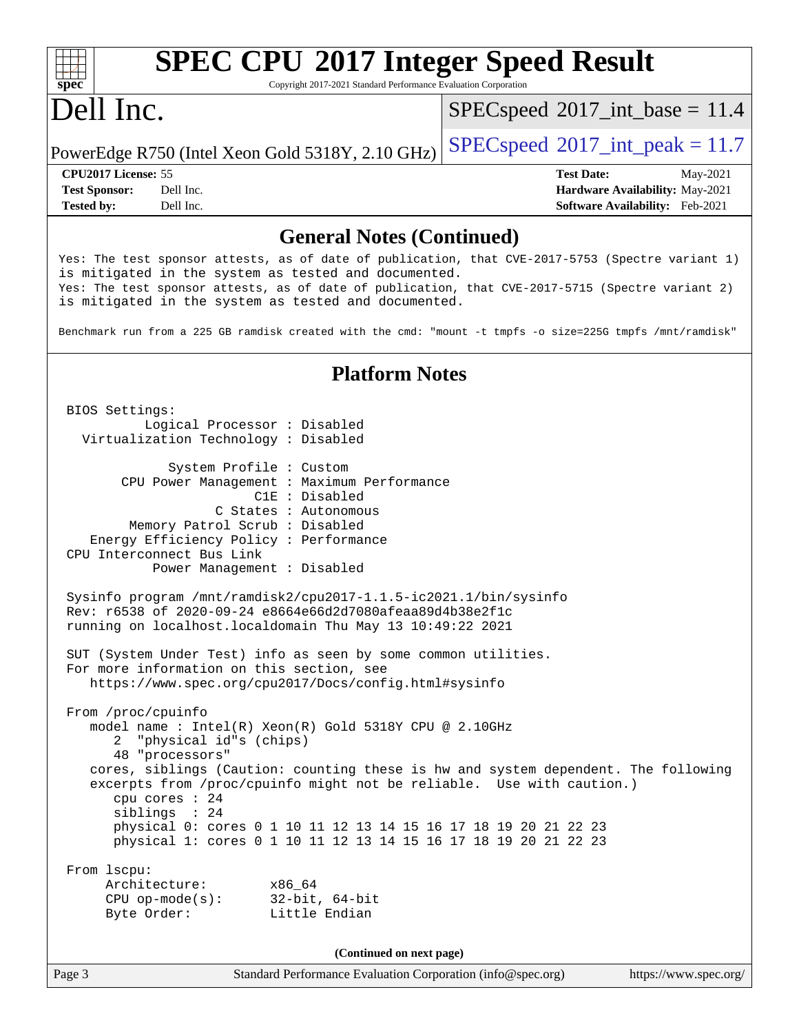# **[spec](http://www.spec.org/)**

# **[SPEC CPU](http://www.spec.org/auto/cpu2017/Docs/result-fields.html#SPECCPU2017IntegerSpeedResult)[2017 Integer Speed Result](http://www.spec.org/auto/cpu2017/Docs/result-fields.html#SPECCPU2017IntegerSpeedResult)**

Copyright 2017-2021 Standard Performance Evaluation Corporation

## Dell Inc.

 $SPECspeed^{\circ}2017\_int\_base = 11.4$  $SPECspeed^{\circ}2017\_int\_base = 11.4$ 

PowerEdge R750 (Intel Xeon Gold 5318Y, 2.10 GHz)  $\left|$  [SPECspeed](http://www.spec.org/auto/cpu2017/Docs/result-fields.html#SPECspeed2017intpeak)®[2017\\_int\\_peak = 1](http://www.spec.org/auto/cpu2017/Docs/result-fields.html#SPECspeed2017intpeak)1.7

**[Tested by:](http://www.spec.org/auto/cpu2017/Docs/result-fields.html#Testedby)** Dell Inc. **[Software Availability:](http://www.spec.org/auto/cpu2017/Docs/result-fields.html#SoftwareAvailability)** Feb-2021

**[CPU2017 License:](http://www.spec.org/auto/cpu2017/Docs/result-fields.html#CPU2017License)** 55 **[Test Date:](http://www.spec.org/auto/cpu2017/Docs/result-fields.html#TestDate)** May-2021 **[Test Sponsor:](http://www.spec.org/auto/cpu2017/Docs/result-fields.html#TestSponsor)** Dell Inc. **[Hardware Availability:](http://www.spec.org/auto/cpu2017/Docs/result-fields.html#HardwareAvailability)** May-2021

### **[General Notes \(Continued\)](http://www.spec.org/auto/cpu2017/Docs/result-fields.html#GeneralNotes)**

Yes: The test sponsor attests, as of date of publication, that CVE-2017-5753 (Spectre variant 1) is mitigated in the system as tested and documented. Yes: The test sponsor attests, as of date of publication, that CVE-2017-5715 (Spectre variant 2) is mitigated in the system as tested and documented.

Benchmark run from a 225 GB ramdisk created with the cmd: "mount -t tmpfs -o size=225G tmpfs /mnt/ramdisk"

### **[Platform Notes](http://www.spec.org/auto/cpu2017/Docs/result-fields.html#PlatformNotes)**

 BIOS Settings: Logical Processor : Disabled Virtualization Technology : Disabled System Profile : Custom CPU Power Management : Maximum Performance C1E : Disabled C States : Autonomous Memory Patrol Scrub : Disabled Energy Efficiency Policy : Performance CPU Interconnect Bus Link Power Management : Disabled Sysinfo program /mnt/ramdisk2/cpu2017-1.1.5-ic2021.1/bin/sysinfo Rev: r6538 of 2020-09-24 e8664e66d2d7080afeaa89d4b38e2f1c running on localhost.localdomain Thu May 13 10:49:22 2021 SUT (System Under Test) info as seen by some common utilities. For more information on this section, see <https://www.spec.org/cpu2017/Docs/config.html#sysinfo> From /proc/cpuinfo model name : Intel(R) Xeon(R) Gold 5318Y CPU @ 2.10GHz 2 "physical id"s (chips) 48 "processors" cores, siblings (Caution: counting these is hw and system dependent. The following excerpts from /proc/cpuinfo might not be reliable. Use with caution.) cpu cores : 24 siblings : 24 physical 0: cores 0 1 10 11 12 13 14 15 16 17 18 19 20 21 22 23 physical 1: cores 0 1 10 11 12 13 14 15 16 17 18 19 20 21 22 23 From lscpu: Architecture: x86\_64 CPU op-mode(s): 32-bit, 64-bit Byte Order: Little Endian **(Continued on next page)**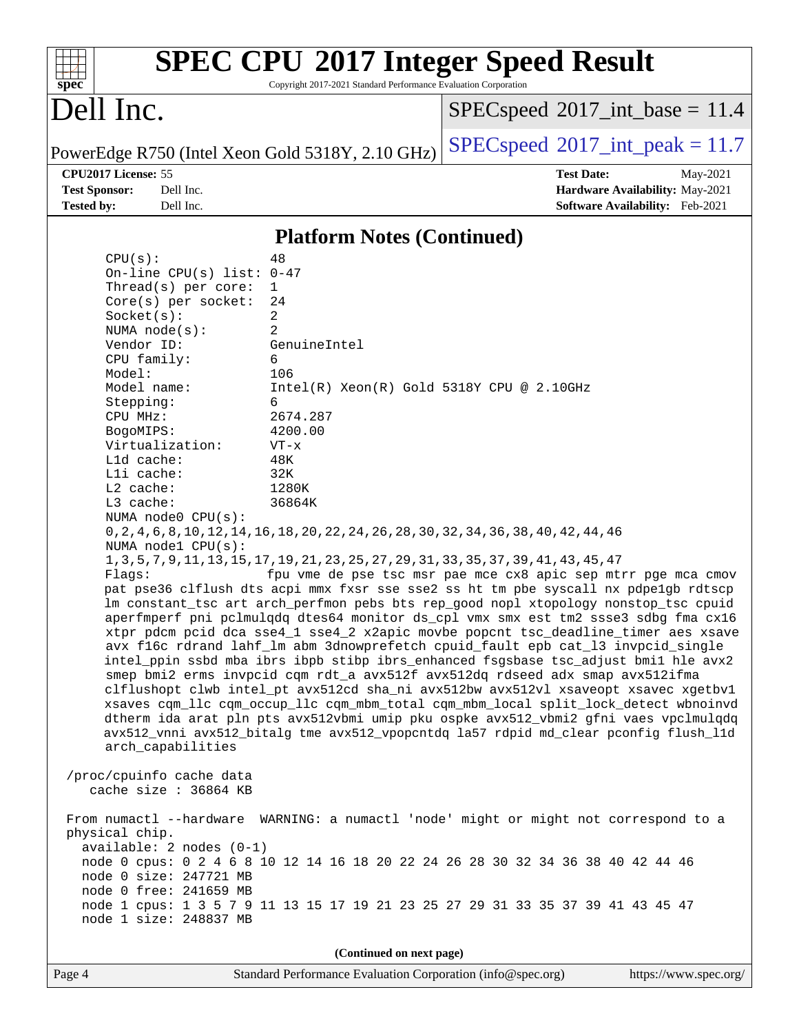| S)<br>оe<br>L. |  |  |  |  |  |  |
|----------------|--|--|--|--|--|--|

# **[SPEC CPU](http://www.spec.org/auto/cpu2017/Docs/result-fields.html#SPECCPU2017IntegerSpeedResult)[2017 Integer Speed Result](http://www.spec.org/auto/cpu2017/Docs/result-fields.html#SPECCPU2017IntegerSpeedResult)**

Copyright 2017-2021 Standard Performance Evaluation Corporation

## Dell Inc.

 $SPEC speed$ <sup>®</sup> $2017$ \_int\_base = 11.4

PowerEdge R750 (Intel Xeon Gold 5318Y, 2.10 GHz)  $\left|$  [SPECspeed](http://www.spec.org/auto/cpu2017/Docs/result-fields.html#SPECspeed2017intpeak)<sup>®</sup>[2017\\_int\\_peak = 1](http://www.spec.org/auto/cpu2017/Docs/result-fields.html#SPECspeed2017intpeak)1.7

**[CPU2017 License:](http://www.spec.org/auto/cpu2017/Docs/result-fields.html#CPU2017License)** 55 **[Test Date:](http://www.spec.org/auto/cpu2017/Docs/result-fields.html#TestDate)** May-2021 **[Test Sponsor:](http://www.spec.org/auto/cpu2017/Docs/result-fields.html#TestSponsor)** Dell Inc. **[Hardware Availability:](http://www.spec.org/auto/cpu2017/Docs/result-fields.html#HardwareAvailability)** May-2021 **[Tested by:](http://www.spec.org/auto/cpu2017/Docs/result-fields.html#Testedby)** Dell Inc. **[Software Availability:](http://www.spec.org/auto/cpu2017/Docs/result-fields.html#SoftwareAvailability)** Feb-2021

### **[Platform Notes \(Continued\)](http://www.spec.org/auto/cpu2017/Docs/result-fields.html#PlatformNotes)**

| CPU(s):                                                                                                   | 48                                                                                        |  |  |  |  |  |
|-----------------------------------------------------------------------------------------------------------|-------------------------------------------------------------------------------------------|--|--|--|--|--|
| On-line CPU(s) list: $0-47$                                                                               |                                                                                           |  |  |  |  |  |
| Thread( $s$ ) per core:                                                                                   | 1                                                                                         |  |  |  |  |  |
| $Core(s)$ per socket:                                                                                     | 24                                                                                        |  |  |  |  |  |
| Socket(s):                                                                                                | 2                                                                                         |  |  |  |  |  |
| NUMA node(s):                                                                                             | 2                                                                                         |  |  |  |  |  |
| Vendor ID:                                                                                                | GenuineIntel                                                                              |  |  |  |  |  |
| CPU family:                                                                                               | 6                                                                                         |  |  |  |  |  |
| Model:                                                                                                    | 106                                                                                       |  |  |  |  |  |
| Model name:                                                                                               | $Intel(R) Xeon(R) Gold 5318Y CPU @ 2.10GHz$                                               |  |  |  |  |  |
| Stepping:                                                                                                 | 6                                                                                         |  |  |  |  |  |
| CPU MHz:                                                                                                  | 2674.287                                                                                  |  |  |  |  |  |
| BogoMIPS:                                                                                                 | 4200.00                                                                                   |  |  |  |  |  |
| Virtualization:                                                                                           | $VT - x$                                                                                  |  |  |  |  |  |
| L1d cache:                                                                                                | 48K                                                                                       |  |  |  |  |  |
| Lli cache:                                                                                                | 32K                                                                                       |  |  |  |  |  |
| $L2$ cache:                                                                                               | 1280K                                                                                     |  |  |  |  |  |
| L3 cache:                                                                                                 | 36864K                                                                                    |  |  |  |  |  |
| NUMA node0 CPU(s):                                                                                        |                                                                                           |  |  |  |  |  |
|                                                                                                           | 0, 2, 4, 6, 8, 10, 12, 14, 16, 18, 20, 22, 24, 26, 28, 30, 32, 34, 36, 38, 40, 42, 44, 46 |  |  |  |  |  |
| NUMA nodel CPU(s):                                                                                        |                                                                                           |  |  |  |  |  |
|                                                                                                           | 1, 3, 5, 7, 9, 11, 13, 15, 17, 19, 21, 23, 25, 27, 29, 31, 33, 35, 37, 39, 41, 43, 45, 47 |  |  |  |  |  |
| Flaqs:                                                                                                    | fpu vme de pse tsc msr pae mce cx8 apic sep mtrr pge mca cmov                             |  |  |  |  |  |
|                                                                                                           | pat pse36 clflush dts acpi mmx fxsr sse sse2 ss ht tm pbe syscall nx pdpelgb rdtscp       |  |  |  |  |  |
| lm constant_tsc art arch_perfmon pebs bts rep_good nopl xtopology nonstop_tsc cpuid                       |                                                                                           |  |  |  |  |  |
| aperfmperf pni pclmulqdq dtes64 monitor ds_cpl vmx smx est tm2 ssse3 sdbg fma cx16                        |                                                                                           |  |  |  |  |  |
| xtpr pdcm pcid dca sse4_1 sse4_2 x2apic movbe popcnt tsc_deadline_timer aes xsave                         |                                                                                           |  |  |  |  |  |
| avx f16c rdrand lahf_lm abm 3dnowprefetch cpuid_fault epb cat_13 invpcid_single                           |                                                                                           |  |  |  |  |  |
| intel_ppin ssbd mba ibrs ibpb stibp ibrs_enhanced fsgsbase tsc_adjust bmil hle avx2                       |                                                                                           |  |  |  |  |  |
| smep bmi2 erms invpcid cqm rdt_a avx512f avx512dq rdseed adx smap avx512ifma                              |                                                                                           |  |  |  |  |  |
| clflushopt clwb intel_pt avx512cd sha_ni avx512bw avx512vl xsaveopt xsavec xgetbvl                        |                                                                                           |  |  |  |  |  |
| xsaves cqm_llc cqm_occup_llc cqm_mbm_total cqm_mbm_local split_lock_detect wbnoinvd                       |                                                                                           |  |  |  |  |  |
| dtherm ida arat pln pts avx512vbmi umip pku ospke avx512_vbmi2 gfni vaes vpclmulqdq                       |                                                                                           |  |  |  |  |  |
| avx512_vnni avx512_bitalg tme avx512_vpopcntdq la57 rdpid md_clear pconfig flush_l1d                      |                                                                                           |  |  |  |  |  |
| arch_capabilities                                                                                         |                                                                                           |  |  |  |  |  |
|                                                                                                           |                                                                                           |  |  |  |  |  |
| /proc/cpuinfo cache data                                                                                  |                                                                                           |  |  |  |  |  |
| cache size : 36864 KB                                                                                     |                                                                                           |  |  |  |  |  |
|                                                                                                           |                                                                                           |  |  |  |  |  |
| WARNING: a numactl 'node' might or might not correspond to a<br>From numactl --hardware<br>physical chip. |                                                                                           |  |  |  |  |  |
| $available: 2 nodes (0-1)$                                                                                |                                                                                           |  |  |  |  |  |
|                                                                                                           | node 0 cpus: 0 2 4 6 8 10 12 14 16 18 20 22 24 26 28 30 32 34 36 38 40 42 44 46           |  |  |  |  |  |
| node 0 size: 247721 MB                                                                                    |                                                                                           |  |  |  |  |  |
| node 0 free: 241659 MB                                                                                    |                                                                                           |  |  |  |  |  |
|                                                                                                           | node 1 cpus: 1 3 5 7 9 11 13 15 17 19 21 23 25 27 29 31 33 35 37 39 41 43 45 47           |  |  |  |  |  |
| node 1 size: 248837 MB                                                                                    |                                                                                           |  |  |  |  |  |
|                                                                                                           |                                                                                           |  |  |  |  |  |
|                                                                                                           |                                                                                           |  |  |  |  |  |
|                                                                                                           | (Continued on next page)                                                                  |  |  |  |  |  |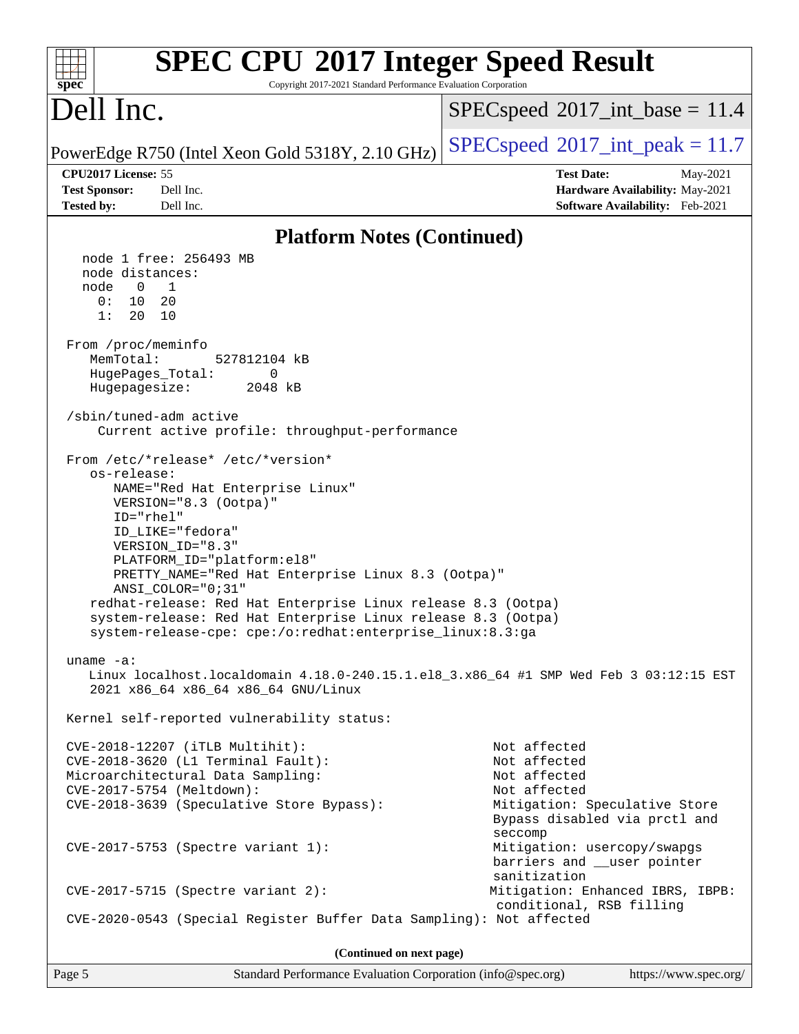| <b>SPEC CPU®2017 Integer Speed Result</b><br>Copyright 2017-2021 Standard Performance Evaluation Corporation<br>spec <sup>®</sup>                                                                                                                                                                                                                                                                                                                                                                                                                                                                                                                                                                                                                                                                                                                                                                                                                                                                                                                                                                                                                                                                                                                                                                                                 |                                                                                                                                                                                                                                                                                         |  |  |  |  |
|-----------------------------------------------------------------------------------------------------------------------------------------------------------------------------------------------------------------------------------------------------------------------------------------------------------------------------------------------------------------------------------------------------------------------------------------------------------------------------------------------------------------------------------------------------------------------------------------------------------------------------------------------------------------------------------------------------------------------------------------------------------------------------------------------------------------------------------------------------------------------------------------------------------------------------------------------------------------------------------------------------------------------------------------------------------------------------------------------------------------------------------------------------------------------------------------------------------------------------------------------------------------------------------------------------------------------------------|-----------------------------------------------------------------------------------------------------------------------------------------------------------------------------------------------------------------------------------------------------------------------------------------|--|--|--|--|
| Dell Inc.                                                                                                                                                                                                                                                                                                                                                                                                                                                                                                                                                                                                                                                                                                                                                                                                                                                                                                                                                                                                                                                                                                                                                                                                                                                                                                                         | $SPEC speed^{\circ}2017\_int\_base = 11.4$                                                                                                                                                                                                                                              |  |  |  |  |
| PowerEdge R750 (Intel Xeon Gold 5318Y, 2.10 GHz)                                                                                                                                                                                                                                                                                                                                                                                                                                                                                                                                                                                                                                                                                                                                                                                                                                                                                                                                                                                                                                                                                                                                                                                                                                                                                  | $SPEC speed^{\circ}2017\_int\_peak = 11.7$                                                                                                                                                                                                                                              |  |  |  |  |
| CPU2017 License: 55<br><b>Test Sponsor:</b><br>Dell Inc.<br>Dell Inc.<br><b>Tested by:</b>                                                                                                                                                                                                                                                                                                                                                                                                                                                                                                                                                                                                                                                                                                                                                                                                                                                                                                                                                                                                                                                                                                                                                                                                                                        | <b>Test Date:</b><br>May-2021<br>Hardware Availability: May-2021<br>Software Availability: Feb-2021                                                                                                                                                                                     |  |  |  |  |
| <b>Platform Notes (Continued)</b>                                                                                                                                                                                                                                                                                                                                                                                                                                                                                                                                                                                                                                                                                                                                                                                                                                                                                                                                                                                                                                                                                                                                                                                                                                                                                                 |                                                                                                                                                                                                                                                                                         |  |  |  |  |
| node 1 free: 256493 MB<br>node distances:<br>node<br>$\overline{0}$<br>1<br>0:<br>10<br>20<br>1:<br>20<br>10<br>From /proc/meminfo<br>MemTotal:<br>527812104 kB<br>HugePages_Total:<br>0<br>Hugepagesize:<br>2048 kB<br>/sbin/tuned-adm active<br>Current active profile: throughput-performance<br>From /etc/*release* /etc/*version*<br>os-release:<br>NAME="Red Hat Enterprise Linux"<br>VERSION="8.3 (Ootpa)"<br>ID="rhel"<br>ID_LIKE="fedora"<br>VERSION_ID="8.3"<br>PLATFORM_ID="platform:el8"<br>PRETTY_NAME="Red Hat Enterprise Linux 8.3 (Ootpa)"<br>$ANSI$ _COLOR=" $0:31$ "<br>redhat-release: Red Hat Enterprise Linux release 8.3 (Ootpa)<br>system-release: Red Hat Enterprise Linux release 8.3 (Ootpa)<br>system-release-cpe: cpe:/o:redhat:enterprise_linux:8.3:ga<br>uname $-a$ :<br>Linux localhost.localdomain 4.18.0-240.15.1.el8_3.x86_64 #1 SMP Wed Feb 3 03:12:15 EST<br>2021 x86_64 x86_64 x86_64 GNU/Linux<br>Kernel self-reported vulnerability status:<br>CVE-2018-12207 (iTLB Multihit):<br>CVE-2018-3620 (L1 Terminal Fault):<br>Microarchitectural Data Sampling:<br>CVE-2017-5754 (Meltdown):<br>CVE-2018-3639 (Speculative Store Bypass):<br>$CVE-2017-5753$ (Spectre variant 1):<br>$CVE-2017-5715$ (Spectre variant 2):<br>CVE-2020-0543 (Special Register Buffer Data Sampling): Not affected | Not affected<br>Not affected<br>Not affected<br>Not affected<br>Mitigation: Speculative Store<br>Bypass disabled via prctl and<br>seccomp<br>Mitigation: usercopy/swapgs<br>barriers and __user pointer<br>sanitization<br>Mitigation: Enhanced IBRS, IBPB:<br>conditional, RSB filling |  |  |  |  |
| (Continued on next page)                                                                                                                                                                                                                                                                                                                                                                                                                                                                                                                                                                                                                                                                                                                                                                                                                                                                                                                                                                                                                                                                                                                                                                                                                                                                                                          |                                                                                                                                                                                                                                                                                         |  |  |  |  |
|                                                                                                                                                                                                                                                                                                                                                                                                                                                                                                                                                                                                                                                                                                                                                                                                                                                                                                                                                                                                                                                                                                                                                                                                                                                                                                                                   |                                                                                                                                                                                                                                                                                         |  |  |  |  |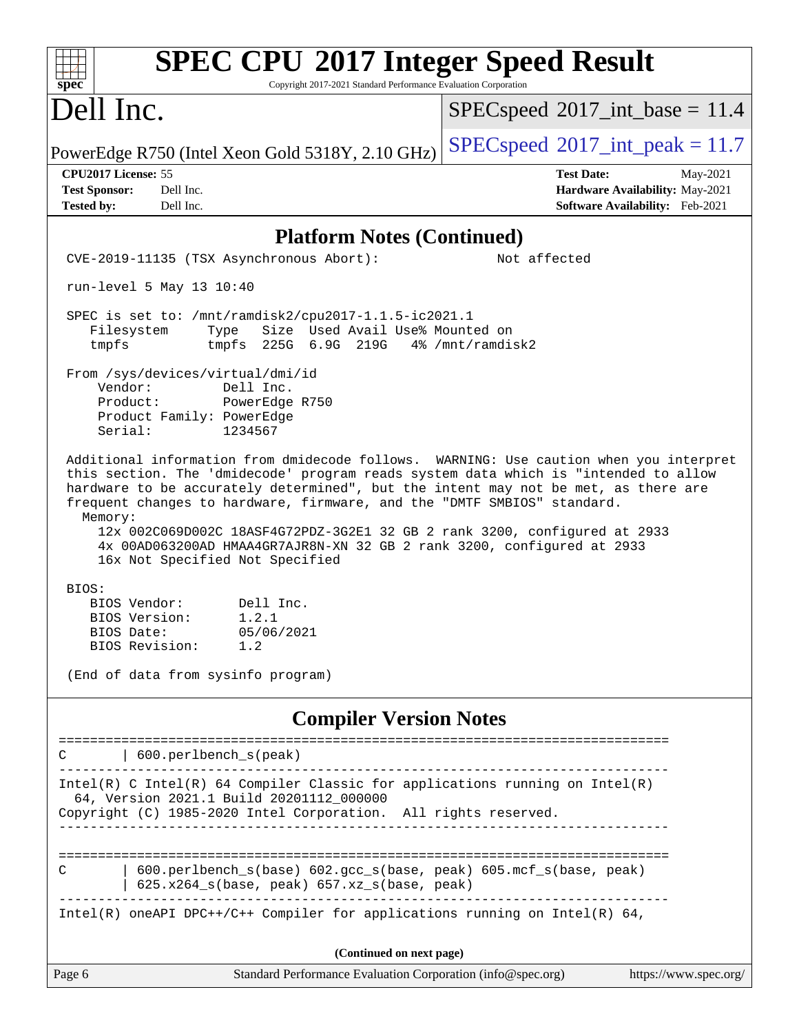| <b>SPEC CPU®2017 Integer Speed Result</b><br>Copyright 2017-2021 Standard Performance Evaluation Corporation<br>spec <sup>®</sup>                                                                                                                                                                                                                                                                                                                                                                                                                   |                                                                                                     |
|-----------------------------------------------------------------------------------------------------------------------------------------------------------------------------------------------------------------------------------------------------------------------------------------------------------------------------------------------------------------------------------------------------------------------------------------------------------------------------------------------------------------------------------------------------|-----------------------------------------------------------------------------------------------------|
| Dell Inc.                                                                                                                                                                                                                                                                                                                                                                                                                                                                                                                                           | $SPEC speed^{\circ}2017\_int\_base = 11.4$                                                          |
| PowerEdge R750 (Intel Xeon Gold 5318Y, 2.10 GHz)                                                                                                                                                                                                                                                                                                                                                                                                                                                                                                    | $SPEC speed^{\circ}2017\_int\_peak = 11.7$                                                          |
| CPU2017 License: 55<br><b>Test Sponsor:</b><br>Dell Inc.<br><b>Tested by:</b><br>Dell Inc.                                                                                                                                                                                                                                                                                                                                                                                                                                                          | <b>Test Date:</b><br>May-2021<br>Hardware Availability: May-2021<br>Software Availability: Feb-2021 |
| <b>Platform Notes (Continued)</b>                                                                                                                                                                                                                                                                                                                                                                                                                                                                                                                   |                                                                                                     |
| CVE-2019-11135 (TSX Asynchronous Abort):                                                                                                                                                                                                                                                                                                                                                                                                                                                                                                            | Not affected                                                                                        |
| run-level 5 May 13 10:40                                                                                                                                                                                                                                                                                                                                                                                                                                                                                                                            |                                                                                                     |
| SPEC is set to: /mnt/ramdisk2/cpu2017-1.1.5-ic2021.1<br>Size Used Avail Use% Mounted on<br>Filesystem<br>Type<br>tmpfs 225G 6.9G 219G 4% /mnt/ramdisk2<br>tmpfs<br>From /sys/devices/virtual/dmi/id<br>Vendor:<br>Dell Inc.<br>PowerEdge R750<br>Product:                                                                                                                                                                                                                                                                                           |                                                                                                     |
| Product Family: PowerEdge<br>1234567<br>Serial:                                                                                                                                                                                                                                                                                                                                                                                                                                                                                                     |                                                                                                     |
| Additional information from dmidecode follows. WARNING: Use caution when you interpret<br>this section. The 'dmidecode' program reads system data which is "intended to allow<br>hardware to be accurately determined", but the intent may not be met, as there are<br>frequent changes to hardware, firmware, and the "DMTF SMBIOS" standard.<br>Memory:<br>12x 002C069D002C 18ASF4G72PDZ-3G2E1 32 GB 2 rank 3200, configured at 2933<br>4x 00AD063200AD HMAA4GR7AJR8N-XN 32 GB 2 rank 3200, configured at 2933<br>16x Not Specified Not Specified |                                                                                                     |
| BIOS:<br>BIOS Vendor:<br>Dell Inc.<br>BIOS Version:<br>1.2.1<br>BIOS Date:<br>05/06/2021<br>BIOS Revision:<br>1.2                                                                                                                                                                                                                                                                                                                                                                                                                                   |                                                                                                     |
| (End of data from sysinfo program)                                                                                                                                                                                                                                                                                                                                                                                                                                                                                                                  |                                                                                                     |
| <b>Compiler Version Notes</b>                                                                                                                                                                                                                                                                                                                                                                                                                                                                                                                       |                                                                                                     |
| 600.perlbench_s(peak)<br>C                                                                                                                                                                                                                                                                                                                                                                                                                                                                                                                          |                                                                                                     |
| $Intel(R)$ C Intel(R) 64 Compiler Classic for applications running on Intel(R)<br>64, Version 2021.1 Build 20201112_000000<br>Copyright (C) 1985-2020 Intel Corporation. All rights reserved.                                                                                                                                                                                                                                                                                                                                                       | ______________________________                                                                      |
| 600.perlbench_s(base) 602.gcc_s(base, peak) 605.mcf_s(base, peak)<br>C<br>625.x264_s(base, peak) 657.xz_s(base, peak)                                                                                                                                                                                                                                                                                                                                                                                                                               |                                                                                                     |
| Intel(R) oneAPI DPC++/C++ Compiler for applications running on Intel(R) $64$ ,                                                                                                                                                                                                                                                                                                                                                                                                                                                                      |                                                                                                     |
| (Continued on next page)                                                                                                                                                                                                                                                                                                                                                                                                                                                                                                                            |                                                                                                     |
| Page 6<br>Standard Performance Evaluation Corporation (info@spec.org)                                                                                                                                                                                                                                                                                                                                                                                                                                                                               | https://www.spec.org/                                                                               |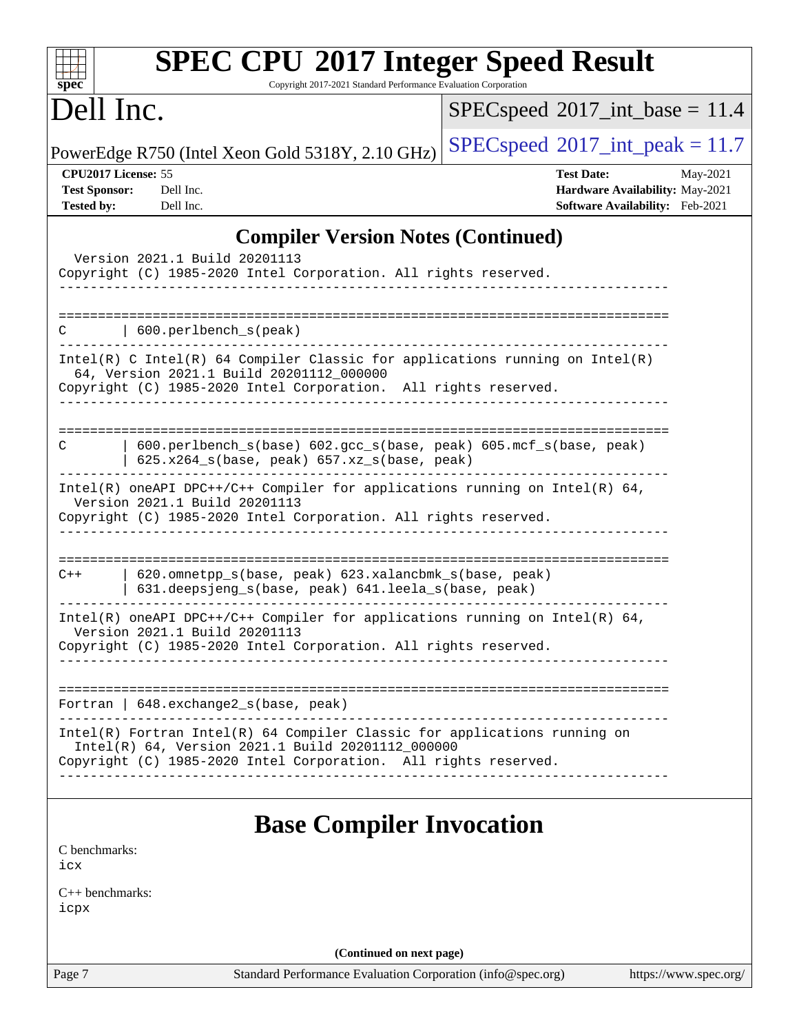| $spec^*$                                                         | <b>SPEC CPU®2017 Integer Speed Result</b><br>Copyright 2017-2021 Standard Performance Evaluation Corporation                                                                                                              |                                                                                                     |
|------------------------------------------------------------------|---------------------------------------------------------------------------------------------------------------------------------------------------------------------------------------------------------------------------|-----------------------------------------------------------------------------------------------------|
| Dell Inc.                                                        |                                                                                                                                                                                                                           | $SPEC speed^{\circ}2017\_int\_base = 11.4$                                                          |
|                                                                  | PowerEdge R750 (Intel Xeon Gold 5318Y, 2.10 GHz)                                                                                                                                                                          | $SPEC speed^{\circ}2017\_int\_peak = 11.7$                                                          |
| CPU2017 License: 55<br><b>Test Sponsor:</b><br><b>Tested by:</b> | Dell Inc.<br>Dell Inc.                                                                                                                                                                                                    | <b>Test Date:</b><br>May-2021<br>Hardware Availability: May-2021<br>Software Availability: Feb-2021 |
|                                                                  | <b>Compiler Version Notes (Continued)</b>                                                                                                                                                                                 |                                                                                                     |
|                                                                  | Version 2021.1 Build 20201113<br>Copyright (C) 1985-2020 Intel Corporation. All rights reserved.                                                                                                                          |                                                                                                     |
| C                                                                | 600.perlbench_s(peak)                                                                                                                                                                                                     |                                                                                                     |
|                                                                  | $Intel(R)$ C Intel(R) 64 Compiler Classic for applications running on Intel(R)<br>64, Version 2021.1 Build 20201112_000000<br>Copyright (C) 1985-2020 Intel Corporation. All rights reserved.                             |                                                                                                     |
| C                                                                | 600.perlbench_s(base) 602.gcc_s(base, peak) 605.mcf_s(base, peak)<br>$625.x264_s(base, peak)$ $657.xz_s(base, peak)$                                                                                                      |                                                                                                     |
|                                                                  | Intel(R) oneAPI DPC++/C++ Compiler for applications running on Intel(R) $64$ ,<br>Version 2021.1 Build 20201113<br>Copyright (C) 1985-2020 Intel Corporation. All rights reserved.                                        |                                                                                                     |
| $C++$                                                            | 620.omnetpp_s(base, peak) 623.xalancbmk_s(base, peak)<br>631.deepsjeng_s(base, peak) 641.leela_s(base, peak)                                                                                                              | ===================================                                                                 |
|                                                                  | Intel(R) oneAPI DPC++/C++ Compiler for applications running on Intel(R) $64$ ,<br>Version 2021.1 Build 20201113<br>Copyright (C) 1985-2020 Intel Corporation. All rights reserved.<br>----------------------------------- |                                                                                                     |
|                                                                  | Fortran   648.exchange2_s(base, peak)                                                                                                                                                                                     |                                                                                                     |
|                                                                  | Intel(R) Fortran Intel(R) 64 Compiler Classic for applications running on<br>Intel(R) 64, Version 2021.1 Build 20201112_000000<br>Copyright (C) 1985-2020 Intel Corporation. All rights reserved.                         |                                                                                                     |
|                                                                  | <b>Base Compiler Invocation</b>                                                                                                                                                                                           |                                                                                                     |
| C benchmarks:<br>icx                                             |                                                                                                                                                                                                                           |                                                                                                     |
| $C_{++}$ benchmarks:<br>icpx                                     |                                                                                                                                                                                                                           |                                                                                                     |
|                                                                  | (Continued on next page)                                                                                                                                                                                                  |                                                                                                     |
| Page 7                                                           | Standard Performance Evaluation Corporation (info@spec.org)                                                                                                                                                               | https://www.spec.org/                                                                               |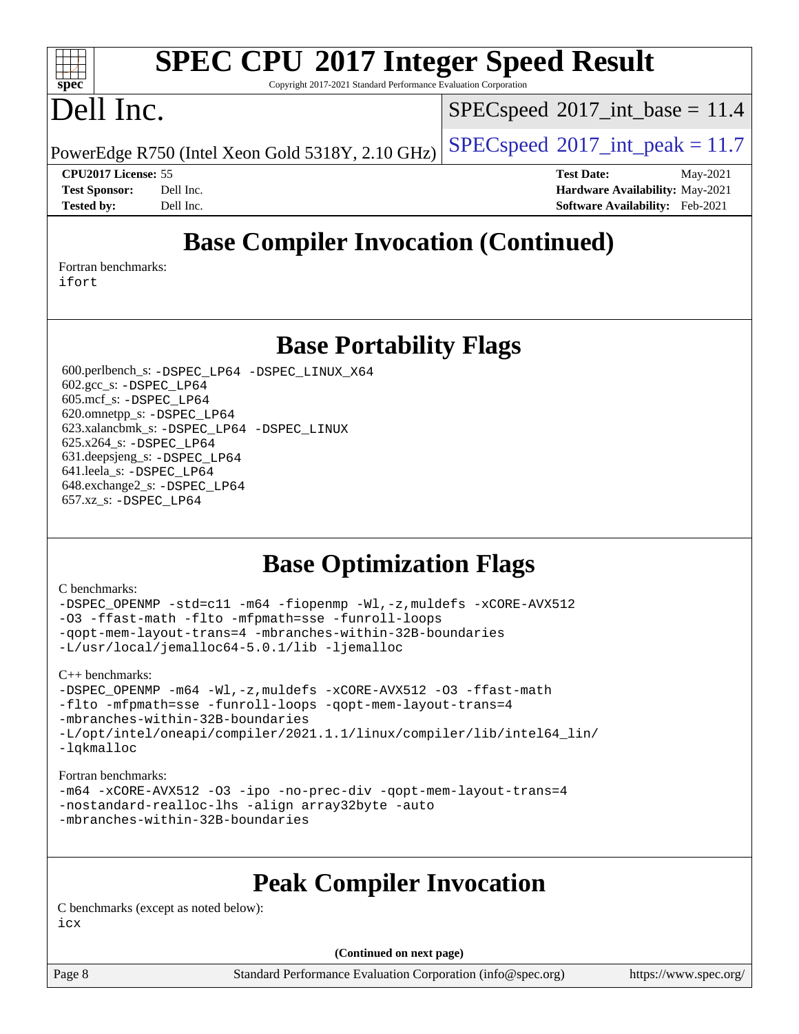## **[SPEC CPU](http://www.spec.org/auto/cpu2017/Docs/result-fields.html#SPECCPU2017IntegerSpeedResult)[2017 Integer Speed Result](http://www.spec.org/auto/cpu2017/Docs/result-fields.html#SPECCPU2017IntegerSpeedResult)**

Copyright 2017-2021 Standard Performance Evaluation Corporation

## Dell Inc.

**[spec](http://www.spec.org/)**

 $\pm t$ 

 $SPECspeed^{\circ}2017\_int\_base = 11.4$  $SPECspeed^{\circ}2017\_int\_base = 11.4$ 

PowerEdge R750 (Intel Xeon Gold 5318Y, 2.10 GHz)  $\left|$  [SPECspeed](http://www.spec.org/auto/cpu2017/Docs/result-fields.html#SPECspeed2017intpeak)®[2017\\_int\\_peak = 1](http://www.spec.org/auto/cpu2017/Docs/result-fields.html#SPECspeed2017intpeak)1.7

**[CPU2017 License:](http://www.spec.org/auto/cpu2017/Docs/result-fields.html#CPU2017License)** 55 **[Test Date:](http://www.spec.org/auto/cpu2017/Docs/result-fields.html#TestDate)** May-2021 **[Test Sponsor:](http://www.spec.org/auto/cpu2017/Docs/result-fields.html#TestSponsor)** Dell Inc. **[Hardware Availability:](http://www.spec.org/auto/cpu2017/Docs/result-fields.html#HardwareAvailability)** May-2021 **[Tested by:](http://www.spec.org/auto/cpu2017/Docs/result-fields.html#Testedby)** Dell Inc. **[Software Availability:](http://www.spec.org/auto/cpu2017/Docs/result-fields.html#SoftwareAvailability)** Feb-2021

## **[Base Compiler Invocation \(Continued\)](http://www.spec.org/auto/cpu2017/Docs/result-fields.html#BaseCompilerInvocation)**

[Fortran benchmarks](http://www.spec.org/auto/cpu2017/Docs/result-fields.html#Fortranbenchmarks): [ifort](http://www.spec.org/cpu2017/results/res2021q3/cpu2017-20210618-27127.flags.html#user_FCbase_intel_ifort_8111460550e3ca792625aed983ce982f94888b8b503583aa7ba2b8303487b4d8a21a13e7191a45c5fd58ff318f48f9492884d4413fa793fd88dd292cad7027ca)

**[Base Portability Flags](http://www.spec.org/auto/cpu2017/Docs/result-fields.html#BasePortabilityFlags)**

 600.perlbench\_s: [-DSPEC\\_LP64](http://www.spec.org/cpu2017/results/res2021q3/cpu2017-20210618-27127.flags.html#b600.perlbench_s_basePORTABILITY_DSPEC_LP64) [-DSPEC\\_LINUX\\_X64](http://www.spec.org/cpu2017/results/res2021q3/cpu2017-20210618-27127.flags.html#b600.perlbench_s_baseCPORTABILITY_DSPEC_LINUX_X64) 602.gcc\_s: [-DSPEC\\_LP64](http://www.spec.org/cpu2017/results/res2021q3/cpu2017-20210618-27127.flags.html#suite_basePORTABILITY602_gcc_s_DSPEC_LP64) 605.mcf\_s: [-DSPEC\\_LP64](http://www.spec.org/cpu2017/results/res2021q3/cpu2017-20210618-27127.flags.html#suite_basePORTABILITY605_mcf_s_DSPEC_LP64) 620.omnetpp\_s: [-DSPEC\\_LP64](http://www.spec.org/cpu2017/results/res2021q3/cpu2017-20210618-27127.flags.html#suite_basePORTABILITY620_omnetpp_s_DSPEC_LP64) 623.xalancbmk\_s: [-DSPEC\\_LP64](http://www.spec.org/cpu2017/results/res2021q3/cpu2017-20210618-27127.flags.html#suite_basePORTABILITY623_xalancbmk_s_DSPEC_LP64) [-DSPEC\\_LINUX](http://www.spec.org/cpu2017/results/res2021q3/cpu2017-20210618-27127.flags.html#b623.xalancbmk_s_baseCXXPORTABILITY_DSPEC_LINUX) 625.x264\_s: [-DSPEC\\_LP64](http://www.spec.org/cpu2017/results/res2021q3/cpu2017-20210618-27127.flags.html#suite_basePORTABILITY625_x264_s_DSPEC_LP64) 631.deepsjeng\_s: [-DSPEC\\_LP64](http://www.spec.org/cpu2017/results/res2021q3/cpu2017-20210618-27127.flags.html#suite_basePORTABILITY631_deepsjeng_s_DSPEC_LP64) 641.leela\_s: [-DSPEC\\_LP64](http://www.spec.org/cpu2017/results/res2021q3/cpu2017-20210618-27127.flags.html#suite_basePORTABILITY641_leela_s_DSPEC_LP64) 648.exchange2\_s: [-DSPEC\\_LP64](http://www.spec.org/cpu2017/results/res2021q3/cpu2017-20210618-27127.flags.html#suite_basePORTABILITY648_exchange2_s_DSPEC_LP64) 657.xz\_s: [-DSPEC\\_LP64](http://www.spec.org/cpu2017/results/res2021q3/cpu2017-20210618-27127.flags.html#suite_basePORTABILITY657_xz_s_DSPEC_LP64)

## **[Base Optimization Flags](http://www.spec.org/auto/cpu2017/Docs/result-fields.html#BaseOptimizationFlags)**

### [C benchmarks](http://www.spec.org/auto/cpu2017/Docs/result-fields.html#Cbenchmarks):

[-DSPEC\\_OPENMP](http://www.spec.org/cpu2017/results/res2021q3/cpu2017-20210618-27127.flags.html#suite_CCbase_DSPEC_OPENMP) [-std=c11](http://www.spec.org/cpu2017/results/res2021q3/cpu2017-20210618-27127.flags.html#user_CCbase_std-icc-std_0e1c27790398a4642dfca32ffe6c27b5796f9c2d2676156f2e42c9c44eaad0c049b1cdb667a270c34d979996257aeb8fc440bfb01818dbc9357bd9d174cb8524) [-m64](http://www.spec.org/cpu2017/results/res2021q3/cpu2017-20210618-27127.flags.html#user_CCbase_m64-icc) [-fiopenmp](http://www.spec.org/cpu2017/results/res2021q3/cpu2017-20210618-27127.flags.html#user_CCbase_fiopenmp_4cde26b3fcccd23bd0bb70af4efc204325d72839eefa1147e34201101709f20b3deb62aad96701dea148529bf4ca48c90b72f3bf837ca148e297cf8a0ba6feb7) [-Wl,-z,muldefs](http://www.spec.org/cpu2017/results/res2021q3/cpu2017-20210618-27127.flags.html#user_CCbase_link_force_multiple1_b4cbdb97b34bdee9ceefcfe54f4c8ea74255f0b02a4b23e853cdb0e18eb4525ac79b5a88067c842dd0ee6996c24547a27a4b99331201badda8798ef8a743f577) [-xCORE-AVX512](http://www.spec.org/cpu2017/results/res2021q3/cpu2017-20210618-27127.flags.html#user_CCbase_f-xCORE-AVX512) [-O3](http://www.spec.org/cpu2017/results/res2021q3/cpu2017-20210618-27127.flags.html#user_CCbase_f-O3) [-ffast-math](http://www.spec.org/cpu2017/results/res2021q3/cpu2017-20210618-27127.flags.html#user_CCbase_f-ffast-math) [-flto](http://www.spec.org/cpu2017/results/res2021q3/cpu2017-20210618-27127.flags.html#user_CCbase_f-flto) [-mfpmath=sse](http://www.spec.org/cpu2017/results/res2021q3/cpu2017-20210618-27127.flags.html#user_CCbase_f-mfpmath_70eb8fac26bde974f8ab713bc9086c5621c0b8d2f6c86f38af0bd7062540daf19db5f3a066d8c6684be05d84c9b6322eb3b5be6619d967835195b93d6c02afa1) [-funroll-loops](http://www.spec.org/cpu2017/results/res2021q3/cpu2017-20210618-27127.flags.html#user_CCbase_f-funroll-loops) [-qopt-mem-layout-trans=4](http://www.spec.org/cpu2017/results/res2021q3/cpu2017-20210618-27127.flags.html#user_CCbase_f-qopt-mem-layout-trans_fa39e755916c150a61361b7846f310bcdf6f04e385ef281cadf3647acec3f0ae266d1a1d22d972a7087a248fd4e6ca390a3634700869573d231a252c784941a8) [-mbranches-within-32B-boundaries](http://www.spec.org/cpu2017/results/res2021q3/cpu2017-20210618-27127.flags.html#user_CCbase_f-mbranches-within-32B-boundaries) [-L/usr/local/jemalloc64-5.0.1/lib](http://www.spec.org/cpu2017/results/res2021q3/cpu2017-20210618-27127.flags.html#user_CCbase_jemalloc_link_path64_1_cc289568b1a6c0fd3b62c91b824c27fcb5af5e8098e6ad028160d21144ef1b8aef3170d2acf0bee98a8da324cfe4f67d0a3d0c4cc4673d993d694dc2a0df248b) [-ljemalloc](http://www.spec.org/cpu2017/results/res2021q3/cpu2017-20210618-27127.flags.html#user_CCbase_jemalloc_link_lib_d1249b907c500fa1c0672f44f562e3d0f79738ae9e3c4a9c376d49f265a04b9c99b167ecedbf6711b3085be911c67ff61f150a17b3472be731631ba4d0471706)

[C++ benchmarks:](http://www.spec.org/auto/cpu2017/Docs/result-fields.html#CXXbenchmarks)

[-DSPEC\\_OPENMP](http://www.spec.org/cpu2017/results/res2021q3/cpu2017-20210618-27127.flags.html#suite_CXXbase_DSPEC_OPENMP) [-m64](http://www.spec.org/cpu2017/results/res2021q3/cpu2017-20210618-27127.flags.html#user_CXXbase_m64-icc) [-Wl,-z,muldefs](http://www.spec.org/cpu2017/results/res2021q3/cpu2017-20210618-27127.flags.html#user_CXXbase_link_force_multiple1_b4cbdb97b34bdee9ceefcfe54f4c8ea74255f0b02a4b23e853cdb0e18eb4525ac79b5a88067c842dd0ee6996c24547a27a4b99331201badda8798ef8a743f577) [-xCORE-AVX512](http://www.spec.org/cpu2017/results/res2021q3/cpu2017-20210618-27127.flags.html#user_CXXbase_f-xCORE-AVX512) [-O3](http://www.spec.org/cpu2017/results/res2021q3/cpu2017-20210618-27127.flags.html#user_CXXbase_f-O3) [-ffast-math](http://www.spec.org/cpu2017/results/res2021q3/cpu2017-20210618-27127.flags.html#user_CXXbase_f-ffast-math) [-flto](http://www.spec.org/cpu2017/results/res2021q3/cpu2017-20210618-27127.flags.html#user_CXXbase_f-flto) [-mfpmath=sse](http://www.spec.org/cpu2017/results/res2021q3/cpu2017-20210618-27127.flags.html#user_CXXbase_f-mfpmath_70eb8fac26bde974f8ab713bc9086c5621c0b8d2f6c86f38af0bd7062540daf19db5f3a066d8c6684be05d84c9b6322eb3b5be6619d967835195b93d6c02afa1) [-funroll-loops](http://www.spec.org/cpu2017/results/res2021q3/cpu2017-20210618-27127.flags.html#user_CXXbase_f-funroll-loops) [-qopt-mem-layout-trans=4](http://www.spec.org/cpu2017/results/res2021q3/cpu2017-20210618-27127.flags.html#user_CXXbase_f-qopt-mem-layout-trans_fa39e755916c150a61361b7846f310bcdf6f04e385ef281cadf3647acec3f0ae266d1a1d22d972a7087a248fd4e6ca390a3634700869573d231a252c784941a8) [-mbranches-within-32B-boundaries](http://www.spec.org/cpu2017/results/res2021q3/cpu2017-20210618-27127.flags.html#user_CXXbase_f-mbranches-within-32B-boundaries) [-L/opt/intel/oneapi/compiler/2021.1.1/linux/compiler/lib/intel64\\_lin/](http://www.spec.org/cpu2017/results/res2021q3/cpu2017-20210618-27127.flags.html#user_CXXbase_linkpath_765a8c93c4ea33dfc565a33ecb48f4f7d02a6338709b3b362f341eb203a06426ce1d12ded4c7809f6ab6cf0e9f5515cffeb4efc405b63f85dc27a83bbbdeb3a3) [-lqkmalloc](http://www.spec.org/cpu2017/results/res2021q3/cpu2017-20210618-27127.flags.html#user_CXXbase_qkmalloc_link_lib_79a818439969f771c6bc311cfd333c00fc099dad35c030f5aab9dda831713d2015205805422f83de8875488a2991c0a156aaa600e1f9138f8fc37004abc96dc5)

### [Fortran benchmarks](http://www.spec.org/auto/cpu2017/Docs/result-fields.html#Fortranbenchmarks):

[-m64](http://www.spec.org/cpu2017/results/res2021q3/cpu2017-20210618-27127.flags.html#user_FCbase_m64-icc) [-xCORE-AVX512](http://www.spec.org/cpu2017/results/res2021q3/cpu2017-20210618-27127.flags.html#user_FCbase_f-xCORE-AVX512) [-O3](http://www.spec.org/cpu2017/results/res2021q3/cpu2017-20210618-27127.flags.html#user_FCbase_f-O3) [-ipo](http://www.spec.org/cpu2017/results/res2021q3/cpu2017-20210618-27127.flags.html#user_FCbase_f-ipo) [-no-prec-div](http://www.spec.org/cpu2017/results/res2021q3/cpu2017-20210618-27127.flags.html#user_FCbase_f-no-prec-div) [-qopt-mem-layout-trans=4](http://www.spec.org/cpu2017/results/res2021q3/cpu2017-20210618-27127.flags.html#user_FCbase_f-qopt-mem-layout-trans_fa39e755916c150a61361b7846f310bcdf6f04e385ef281cadf3647acec3f0ae266d1a1d22d972a7087a248fd4e6ca390a3634700869573d231a252c784941a8) [-nostandard-realloc-lhs](http://www.spec.org/cpu2017/results/res2021q3/cpu2017-20210618-27127.flags.html#user_FCbase_f_2003_std_realloc_82b4557e90729c0f113870c07e44d33d6f5a304b4f63d4c15d2d0f1fab99f5daaed73bdb9275d9ae411527f28b936061aa8b9c8f2d63842963b95c9dd6426b8a) [-align array32byte](http://www.spec.org/cpu2017/results/res2021q3/cpu2017-20210618-27127.flags.html#user_FCbase_align_array32byte_b982fe038af199962ba9a80c053b8342c548c85b40b8e86eb3cc33dee0d7986a4af373ac2d51c3f7cf710a18d62fdce2948f201cd044323541f22fc0fffc51b6) [-auto](http://www.spec.org/cpu2017/results/res2021q3/cpu2017-20210618-27127.flags.html#user_FCbase_f-auto) [-mbranches-within-32B-boundaries](http://www.spec.org/cpu2017/results/res2021q3/cpu2017-20210618-27127.flags.html#user_FCbase_f-mbranches-within-32B-boundaries)

## **[Peak Compiler Invocation](http://www.spec.org/auto/cpu2017/Docs/result-fields.html#PeakCompilerInvocation)**

[C benchmarks \(except as noted below\)](http://www.spec.org/auto/cpu2017/Docs/result-fields.html#Cbenchmarksexceptasnotedbelow): [icx](http://www.spec.org/cpu2017/results/res2021q3/cpu2017-20210618-27127.flags.html#user_CCpeak_intel_icx_fe2d28d19ae2a5db7c42fe0f2a2aed77cb715edd4aeb23434404a8be6683fe239869bb6ca8154ca98265c2e3b9226a719a0efe2953a4a7018c379b7010ccf087)

**(Continued on next page)**

Page 8 Standard Performance Evaluation Corporation [\(info@spec.org\)](mailto:info@spec.org) <https://www.spec.org/>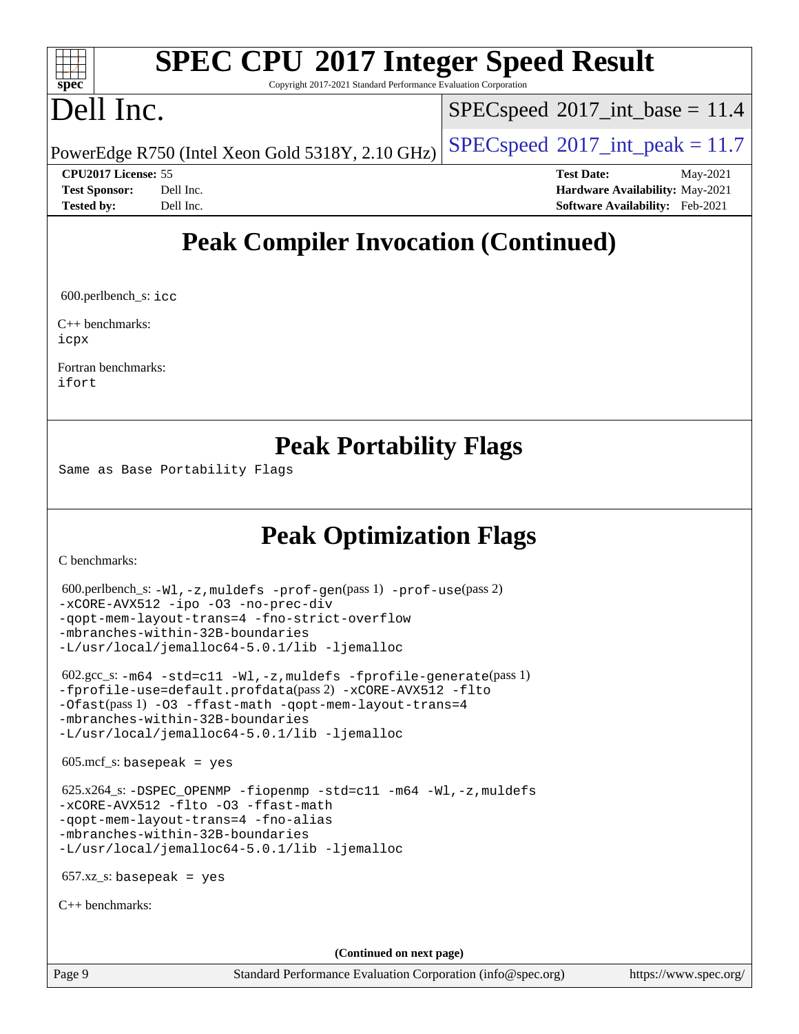### dd h **[spec](http://www.spec.org/)**

# **[SPEC CPU](http://www.spec.org/auto/cpu2017/Docs/result-fields.html#SPECCPU2017IntegerSpeedResult)[2017 Integer Speed Result](http://www.spec.org/auto/cpu2017/Docs/result-fields.html#SPECCPU2017IntegerSpeedResult)**

Copyright 2017-2021 Standard Performance Evaluation Corporation

## Dell Inc.

 $SPECspeed^{\circ}2017\_int\_base = 11.4$  $SPECspeed^{\circ}2017\_int\_base = 11.4$ 

PowerEdge R750 (Intel Xeon Gold 5318Y, 2.10 GHz)  $\left|$  [SPECspeed](http://www.spec.org/auto/cpu2017/Docs/result-fields.html#SPECspeed2017intpeak)®[2017\\_int\\_peak = 1](http://www.spec.org/auto/cpu2017/Docs/result-fields.html#SPECspeed2017intpeak)1.7

**[CPU2017 License:](http://www.spec.org/auto/cpu2017/Docs/result-fields.html#CPU2017License)** 55 **[Test Date:](http://www.spec.org/auto/cpu2017/Docs/result-fields.html#TestDate)** May-2021 **[Test Sponsor:](http://www.spec.org/auto/cpu2017/Docs/result-fields.html#TestSponsor)** Dell Inc. **[Hardware Availability:](http://www.spec.org/auto/cpu2017/Docs/result-fields.html#HardwareAvailability)** May-2021 **[Tested by:](http://www.spec.org/auto/cpu2017/Docs/result-fields.html#Testedby)** Dell Inc. **[Software Availability:](http://www.spec.org/auto/cpu2017/Docs/result-fields.html#SoftwareAvailability)** Feb-2021

## **[Peak Compiler Invocation \(Continued\)](http://www.spec.org/auto/cpu2017/Docs/result-fields.html#PeakCompilerInvocation)**

600.perlbench\_s: [icc](http://www.spec.org/cpu2017/results/res2021q3/cpu2017-20210618-27127.flags.html#user_peakCCLD600_perlbench_s_intel_icc_66fc1ee009f7361af1fbd72ca7dcefbb700085f36577c54f309893dd4ec40d12360134090235512931783d35fd58c0460139e722d5067c5574d8eaf2b3e37e92)

[C++ benchmarks:](http://www.spec.org/auto/cpu2017/Docs/result-fields.html#CXXbenchmarks) [icpx](http://www.spec.org/cpu2017/results/res2021q3/cpu2017-20210618-27127.flags.html#user_CXXpeak_intel_icpx_1e918ed14c436bf4b9b7c8bcdd51d4539fc71b3df010bd1e9f8732d9c34c2b2914e48204a846820f3c0ebb4095dea797a5c30b458ac0b6dffac65d78f781f5ca)

[Fortran benchmarks](http://www.spec.org/auto/cpu2017/Docs/result-fields.html#Fortranbenchmarks): [ifort](http://www.spec.org/cpu2017/results/res2021q3/cpu2017-20210618-27127.flags.html#user_FCpeak_intel_ifort_8111460550e3ca792625aed983ce982f94888b8b503583aa7ba2b8303487b4d8a21a13e7191a45c5fd58ff318f48f9492884d4413fa793fd88dd292cad7027ca)

### **[Peak Portability Flags](http://www.spec.org/auto/cpu2017/Docs/result-fields.html#PeakPortabilityFlags)**

Same as Base Portability Flags

## **[Peak Optimization Flags](http://www.spec.org/auto/cpu2017/Docs/result-fields.html#PeakOptimizationFlags)**

[C benchmarks](http://www.spec.org/auto/cpu2017/Docs/result-fields.html#Cbenchmarks):

```
 600.perlbench_s: -Wl,-z,muldefs -prof-gen(pass 1) -prof-use(pass 2)
-xCORE-AVX512 -ipo -O3 -no-prec-div
-qopt-mem-layout-trans=4 -fno-strict-overflow
-mbranches-within-32B-boundaries
-L/usr/local/jemalloc64-5.0.1/lib -ljemalloc
 602.gcc_s: -m64 -std=c11 -Wl,-z,muldefs -fprofile-generate(pass 1)
-fprofile-use=default.profdata(pass 2) -xCORE-AVX512 -flto
-Ofast(pass 1) -O3 -ffast-math -qopt-mem-layout-trans=4
-mbranches-within-32B-boundaries
-L/usr/local/jemalloc64-5.0.1/lib -ljemalloc
605 \text{.mcf}\text{-}\mathrm{s}: basepeak = yes
 625.x264_s: -DSPEC_OPENMP -fiopenmp -std=c11 -m64 -Wl,-z,muldefs
-xCORE-AVX512 -flto -O3 -ffast-math
-qopt-mem-layout-trans=4 -fno-alias
-mbranches-within-32B-boundaries
-L/usr/local/jemalloc64-5.0.1/lib -ljemalloc
657.xz_s: basepeak = yes
C++ benchmarks: 
                                       (Continued on next page)
```